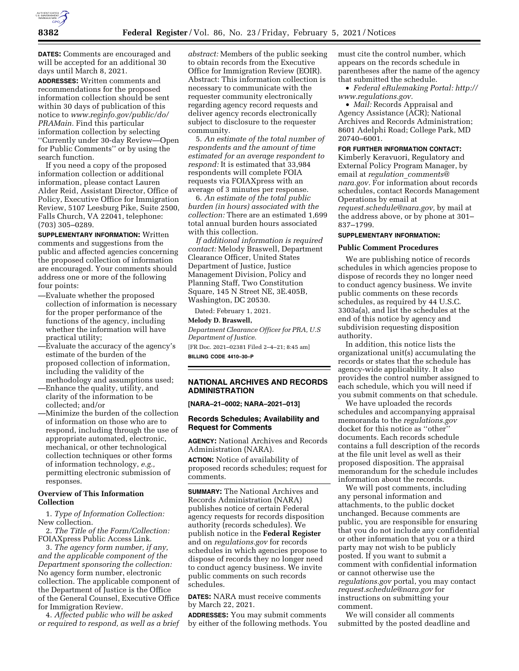

**DATES:** Comments are encouraged and will be accepted for an additional 30 days until March 8, 2021.

**ADDRESSES:** Written comments and recommendations for the proposed information collection should be sent within 30 days of publication of this notice to *[www.reginfo.gov/public/do/](http://www.reginfo.gov/public/do/PRAMain) [PRAMain.](http://www.reginfo.gov/public/do/PRAMain)* Find this particular information collection by selecting ''Currently under 30-day Review—Open for Public Comments'' or by using the search function.

If you need a copy of the proposed information collection or additional information, please contact Lauren Alder Reid, Assistant Director, Office of Policy, Executive Office for Immigration Review, 5107 Leesburg Pike, Suite 2500, Falls Church, VA 22041, telephone: (703) 305–0289.

**SUPPLEMENTARY INFORMATION:** Written comments and suggestions from the public and affected agencies concerning the proposed collection of information are encouraged. Your comments should address one or more of the following four points:

- —Evaluate whether the proposed collection of information is necessary for the proper performance of the functions of the agency, including whether the information will have practical utility;
- —Evaluate the accuracy of the agency's estimate of the burden of the proposed collection of information, including the validity of the methodology and assumptions used;
- —Enhance the quality, utility, and clarity of the information to be collected; and/or
- —Minimize the burden of the collection of information on those who are to respond, including through the use of appropriate automated, electronic, mechanical, or other technological collection techniques or other forms of information technology, *e.g.,*  permitting electronic submission of responses.

## **Overview of This Information Collection**

1. *Type of Information Collection:*  New collection.

2. *The Title of the Form/Collection:*  FOIAXpress Public Access Link.

3. *The agency form number, if any, and the applicable component of the Department sponsoring the collection:*  No agency form number, electronic collection. The applicable component of the Department of Justice is the Office of the General Counsel, Executive Office for Immigration Review.

4. *Affected public who will be asked or required to respond, as well as a brief*  *abstract:* Members of the public seeking to obtain records from the Executive Office for Immigration Review (EOIR). Abstract: This information collection is necessary to communicate with the requester community electronically regarding agency record requests and deliver agency records electronically subject to disclosure to the requester community.

5. *An estimate of the total number of respondents and the amount of time estimated for an average respondent to respond:* It is estimated that 33,984 respondents will complete FOIA requests via FOIAXpress with an average of 3 minutes per response.

6. *An estimate of the total public burden (in hours) associated with the collection:* There are an estimated 1,699 total annual burden hours associated with this collection.

*If additional information is required contact:* Melody Braswell, Department Clearance Officer, United States Department of Justice, Justice Management Division, Policy and Planning Staff, Two Constitution Square, 145 N Street NE, 3E.405B, Washington, DC 20530.

Dated: February 1, 2021.

## **Melody D. Braswell,**

*Department Clearance Officer for PRA, U.S Department of Justice.*  [FR Doc. 2021–02381 Filed 2–4–21; 8:45 am]

**BILLING CODE 4410–30–P** 

## **NATIONAL ARCHIVES AND RECORDS ADMINISTRATION**

**[NARA–21–0002; NARA–2021–013]** 

## **Records Schedules; Availability and Request for Comments**

**AGENCY:** National Archives and Records Administration (NARA).

**ACTION:** Notice of availability of proposed records schedules; request for comments.

**SUMMARY:** The National Archives and Records Administration (NARA) publishes notice of certain Federal agency requests for records disposition authority (records schedules). We publish notice in the **Federal Register**  and on *regulations.gov* for records schedules in which agencies propose to dispose of records they no longer need to conduct agency business. We invite public comments on such records schedules.

**DATES:** NARA must receive comments by March 22, 2021.

**ADDRESSES:** You may submit comments by either of the following methods. You must cite the control number, which appears on the records schedule in parentheses after the name of the agency that submitted the schedule.

• *Federal eRulemaking Portal: [http://](http://www.regulations.gov)  [www.regulations.gov.](http://www.regulations.gov)* 

• *Mail:* Records Appraisal and Agency Assistance (ACR); National Archives and Records Administration; 8601 Adelphi Road; College Park, MD 20740–6001.

## **FOR FURTHER INFORMATION CONTACT:**

Kimberly Keravuori, Regulatory and External Policy Program Manager, by email at *regulation*\_*[comments@](mailto:regulation_comments@nara.gov) [nara.gov.](mailto:regulation_comments@nara.gov)* For information about records schedules, contact Records Management Operations by email at *[request.schedule@nara.gov,](mailto:request.schedule@nara.gov)* by mail at the address above, or by phone at 301– 837–1799.

# **SUPPLEMENTARY INFORMATION:**

## **Public Comment Procedures**

We are publishing notice of records schedules in which agencies propose to dispose of records they no longer need to conduct agency business. We invite public comments on these records schedules, as required by 44 U.S.C. 3303a(a), and list the schedules at the end of this notice by agency and subdivision requesting disposition authority.

In addition, this notice lists the organizational unit(s) accumulating the records or states that the schedule has agency-wide applicability. It also provides the control number assigned to each schedule, which you will need if you submit comments on that schedule.

We have uploaded the records schedules and accompanying appraisal memoranda to the *regulations.gov*  docket for this notice as ''other'' documents. Each records schedule contains a full description of the records at the file unit level as well as their proposed disposition. The appraisal memorandum for the schedule includes information about the records.

We will post comments, including any personal information and attachments, to the public docket unchanged. Because comments are public, you are responsible for ensuring that you do not include any confidential or other information that you or a third party may not wish to be publicly posted. If you want to submit a comment with confidential information or cannot otherwise use the *regulations.gov* portal, you may contact *[request.schedule@nara.gov](mailto:request.schedule@nara.gov)* for instructions on submitting your comment.

We will consider all comments submitted by the posted deadline and